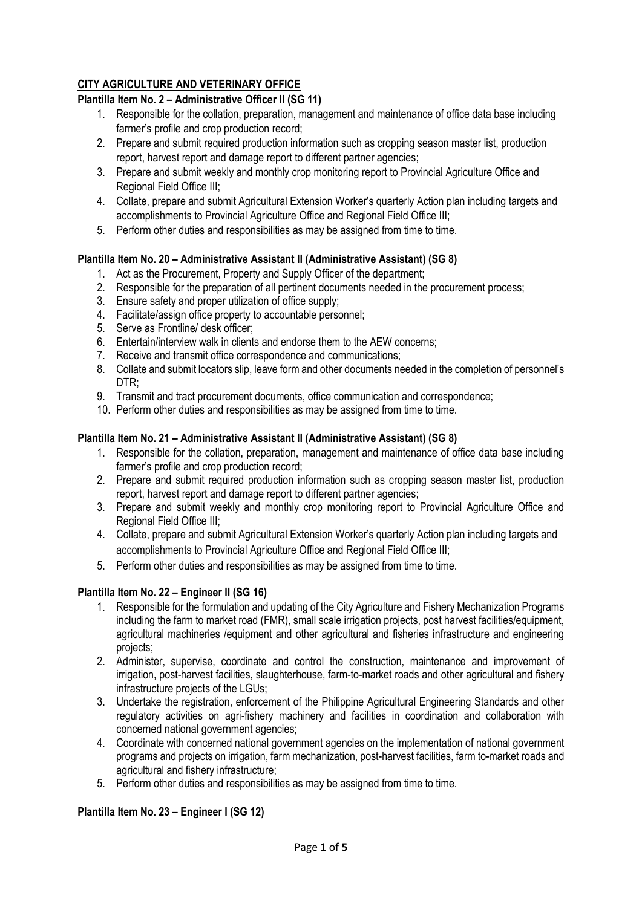# **CITY AGRICULTURE AND VETERINARY OFFICE**

## **Plantilla Item No. 2 – Administrative Officer II (SG 11)**

- 1. Responsible for the collation, preparation, management and maintenance of office data base including farmer's profile and crop production record;
- 2. Prepare and submit required production information such as cropping season master list, production report, harvest report and damage report to different partner agencies;
- 3. Prepare and submit weekly and monthly crop monitoring report to Provincial Agriculture Office and Regional Field Office III;
- 4. Collate, prepare and submit Agricultural Extension Worker's quarterly Action plan including targets and accomplishments to Provincial Agriculture Office and Regional Field Office III;
- 5. Perform other duties and responsibilities as may be assigned from time to time.

## **Plantilla Item No. 20 – Administrative Assistant II (Administrative Assistant) (SG 8)**

- 1. Act as the Procurement, Property and Supply Officer of the department;
- 2. Responsible for the preparation of all pertinent documents needed in the procurement process;
- 3. Ensure safety and proper utilization of office supply;
- 4. Facilitate/assign office property to accountable personnel;
- 5. Serve as Frontline/ desk officer;
- 6. Entertain/interview walk in clients and endorse them to the AEW concerns;
- 7. Receive and transmit office correspondence and communications;
- 8. Collate and submit locators slip, leave form and other documents needed in the completion of personnel's DTR;
- 9. Transmit and tract procurement documents, office communication and correspondence;
- 10. Perform other duties and responsibilities as may be assigned from time to time.

## **Plantilla Item No. 21 – Administrative Assistant II (Administrative Assistant) (SG 8)**

- 1. Responsible for the collation, preparation, management and maintenance of office data base including farmer's profile and crop production record;
- 2. Prepare and submit required production information such as cropping season master list, production report, harvest report and damage report to different partner agencies;
- 3. Prepare and submit weekly and monthly crop monitoring report to Provincial Agriculture Office and Regional Field Office III;
- 4. Collate, prepare and submit Agricultural Extension Worker's quarterly Action plan including targets and accomplishments to Provincial Agriculture Office and Regional Field Office III;
- 5. Perform other duties and responsibilities as may be assigned from time to time.

# **Plantilla Item No. 22 – Engineer II (SG 16)**

- 1. Responsible for the formulation and updating of the City Agriculture and Fishery Mechanization Programs including the farm to market road (FMR), small scale irrigation projects, post harvest facilities/equipment, agricultural machineries /equipment and other agricultural and fisheries infrastructure and engineering projects;
- 2. Administer, supervise, coordinate and control the construction, maintenance and improvement of irrigation, post-harvest facilities, slaughterhouse, farm-to-market roads and other agricultural and fishery infrastructure projects of the LGUs;
- 3. Undertake the registration, enforcement of the Philippine Agricultural Engineering Standards and other regulatory activities on agri-fishery machinery and facilities in coordination and collaboration with concerned national government agencies;
- 4. Coordinate with concerned national government agencies on the implementation of national government programs and projects on irrigation, farm mechanization, post-harvest facilities, farm to-market roads and agricultural and fishery infrastructure;
- 5. Perform other duties and responsibilities as may be assigned from time to time.

# **Plantilla Item No. 23 – Engineer I (SG 12)**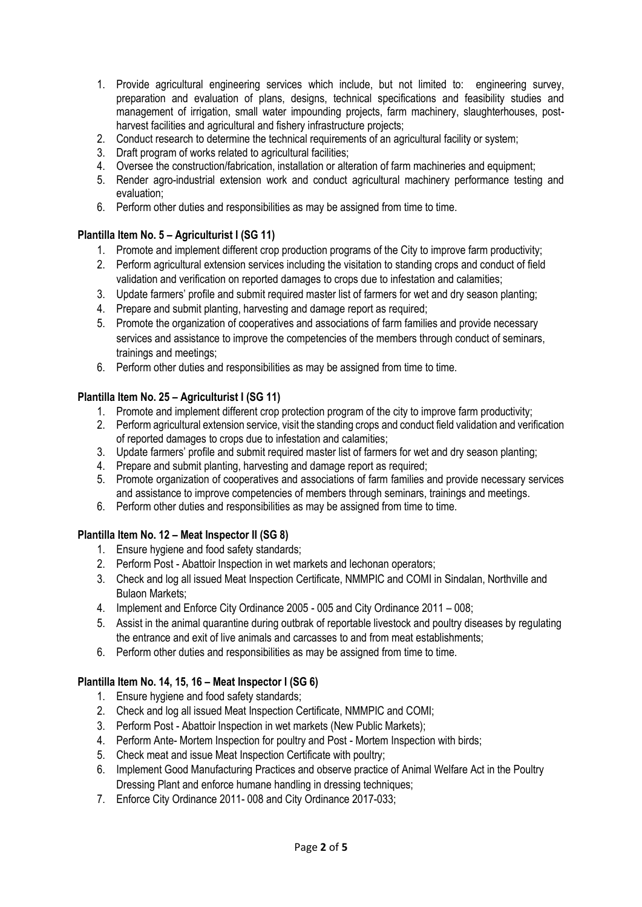- 1. Provide agricultural engineering services which include, but not limited to: engineering survey, preparation and evaluation of plans, designs, technical specifications and feasibility studies and management of irrigation, small water impounding projects, farm machinery, slaughterhouses, postharvest facilities and agricultural and fishery infrastructure projects;
- 2. Conduct research to determine the technical requirements of an agricultural facility or system;
- 3. Draft program of works related to agricultural facilities;
- 4. Oversee the construction/fabrication, installation or alteration of farm machineries and equipment;
- 5. Render agro-industrial extension work and conduct agricultural machinery performance testing and evaluation;
- 6. Perform other duties and responsibilities as may be assigned from time to time.

## **Plantilla Item No. 5 – Agriculturist I (SG 11)**

- 1. Promote and implement different crop production programs of the City to improve farm productivity;
- 2. Perform agricultural extension services including the visitation to standing crops and conduct of field validation and verification on reported damages to crops due to infestation and calamities;
- 3. Update farmers' profile and submit required master list of farmers for wet and dry season planting;
- 4. Prepare and submit planting, harvesting and damage report as required;
- 5. Promote the organization of cooperatives and associations of farm families and provide necessary services and assistance to improve the competencies of the members through conduct of seminars, trainings and meetings;
- 6. Perform other duties and responsibilities as may be assigned from time to time.

## **Plantilla Item No. 25 – Agriculturist I (SG 11)**

- 1. Promote and implement different crop protection program of the city to improve farm productivity;
- 2. Perform agricultural extension service, visit the standing crops and conduct field validation and verification of reported damages to crops due to infestation and calamities;
- 3. Update farmers' profile and submit required master list of farmers for wet and dry season planting;
- 4. Prepare and submit planting, harvesting and damage report as required;
- 5. Promote organization of cooperatives and associations of farm families and provide necessary services and assistance to improve competencies of members through seminars, trainings and meetings.
- 6. Perform other duties and responsibilities as may be assigned from time to time.

# **Plantilla Item No. 12 – Meat Inspector II (SG 8)**

- 1. Ensure hygiene and food safety standards;
- 2. Perform Post Abattoir Inspection in wet markets and lechonan operators;
- 3. Check and log all issued Meat Inspection Certificate, NMMPIC and COMI in Sindalan, Northville and Bulaon Markets;
- 4. Implement and Enforce City Ordinance 2005 005 and City Ordinance 2011 008;
- 5. Assist in the animal quarantine during outbrak of reportable livestock and poultry diseases by regulating the entrance and exit of live animals and carcasses to and from meat establishments;
- 6. Perform other duties and responsibilities as may be assigned from time to time.

# **Plantilla Item No. 14, 15, 16 – Meat Inspector I (SG 6)**

- 1. Ensure hygiene and food safety standards;
- 2. Check and log all issued Meat Inspection Certificate, NMMPIC and COMI;
- 3. Perform Post Abattoir Inspection in wet markets (New Public Markets);
- 4. Perform Ante- Mortem Inspection for poultry and Post Mortem Inspection with birds;
- 5. Check meat and issue Meat Inspection Certificate with poultry;
- 6. Implement Good Manufacturing Practices and observe practice of Animal Welfare Act in the Poultry Dressing Plant and enforce humane handling in dressing techniques;
- 7. Enforce City Ordinance 2011- 008 and City Ordinance 2017-033;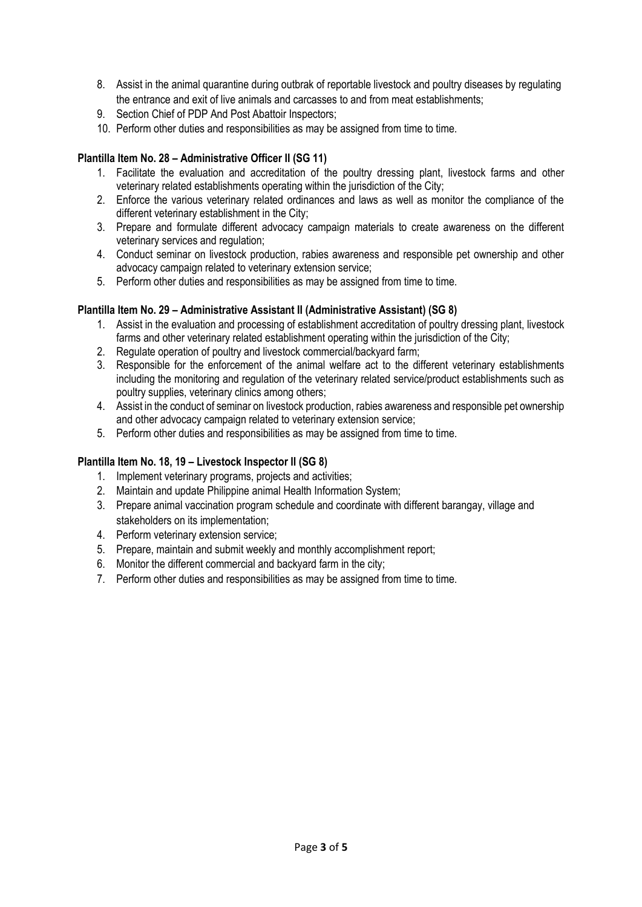- 8. Assist in the animal quarantine during outbrak of reportable livestock and poultry diseases by regulating the entrance and exit of live animals and carcasses to and from meat establishments;
- 9. Section Chief of PDP And Post Abattoir Inspectors;
- 10. Perform other duties and responsibilities as may be assigned from time to time.

### **Plantilla Item No. 28 – Administrative Officer II (SG 11)**

- 1. Facilitate the evaluation and accreditation of the poultry dressing plant, livestock farms and other veterinary related establishments operating within the jurisdiction of the City;
- 2. Enforce the various veterinary related ordinances and laws as well as monitor the compliance of the different veterinary establishment in the City;
- 3. Prepare and formulate different advocacy campaign materials to create awareness on the different veterinary services and regulation;
- 4. Conduct seminar on livestock production, rabies awareness and responsible pet ownership and other advocacy campaign related to veterinary extension service;
- 5. Perform other duties and responsibilities as may be assigned from time to time.

### **Plantilla Item No. 29 – Administrative Assistant II (Administrative Assistant) (SG 8)**

- 1. Assist in the evaluation and processing of establishment accreditation of poultry dressing plant, livestock farms and other veterinary related establishment operating within the jurisdiction of the City;
- 2. Regulate operation of poultry and livestock commercial/backyard farm;
- 3. Responsible for the enforcement of the animal welfare act to the different veterinary establishments including the monitoring and regulation of the veterinary related service/product establishments such as poultry supplies, veterinary clinics among others;
- 4. Assist in the conduct of seminar on livestock production, rabies awareness and responsible pet ownership and other advocacy campaign related to veterinary extension service;
- 5. Perform other duties and responsibilities as may be assigned from time to time.

### **Plantilla Item No. 18, 19 – Livestock Inspector II (SG 8)**

- 1. Implement veterinary programs, projects and activities;
- 2. Maintain and update Philippine animal Health Information System;
- 3. Prepare animal vaccination program schedule and coordinate with different barangay, village and stakeholders on its implementation;
- 4. Perform veterinary extension service;
- 5. Prepare, maintain and submit weekly and monthly accomplishment report;
- 6. Monitor the different commercial and backyard farm in the city;
- 7. Perform other duties and responsibilities as may be assigned from time to time.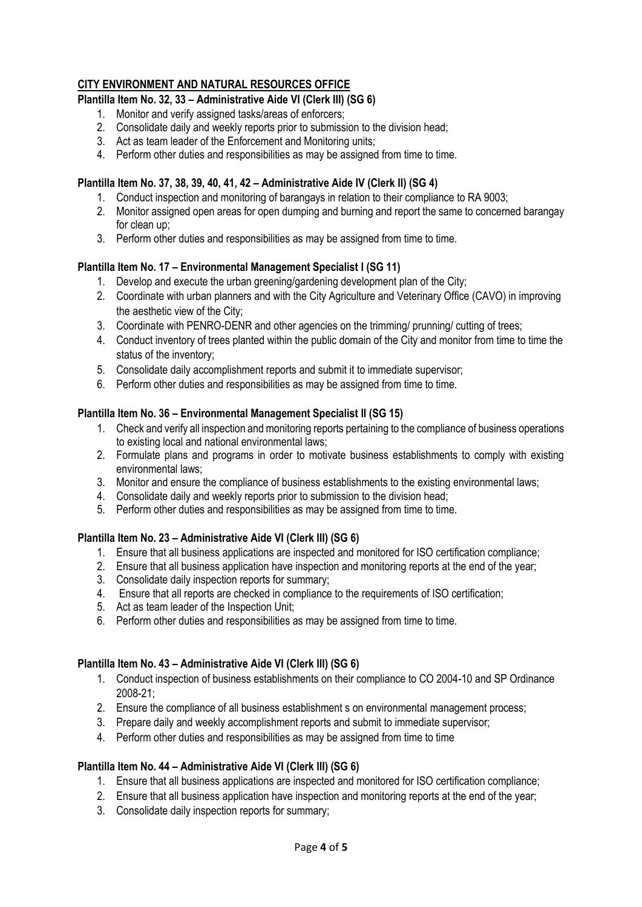## **CITY ENVIRONMENT AND NATURAL RESOURCES OFFICE**

## **Plantilla Item No. 32, 33 – Administrative Aide VI (Clerk III) (SG 6)**

- 1. Monitor and verify assigned tasks/areas of enforcers;
- 2. Consolidate daily and weekly reports prior to submission to the division head;
- 3. Act as team leader of the Enforcement and Monitoring units;
- 4. Perform other duties and responsibilities as may be assigned from time to time.

## **Plantilla Item No. 37, 38, 39, 40, 41, 42 – Administrative Aide IV (Clerk II) (SG 4)**

- 1. Conduct inspection and monitoring of barangays in relation to their compliance to RA 9003;
- 2. Monitor assigned open areas for open dumping and burning and report the same to concerned barangay for clean up;
- 3. Perform other duties and responsibilities as may be assigned from time to time.

## **Plantilla Item No. 17 – Environmental Management Specialist I (SG 11)**

- 1. Develop and execute the urban greening/gardening development plan of the City;
- 2. Coordinate with urban planners and with the City Agriculture and Veterinary Office (CAVO) in improving the aesthetic view of the City;
- 3. Coordinate with PENRO-DENR and other agencies on the trimming/ prunning/ cutting of trees;
- 4. Conduct inventory of trees planted within the public domain of the City and monitor from time to time the status of the inventory;
- 5. Consolidate daily accomplishment reports and submit it to immediate supervisor;
- 6. Perform other duties and responsibilities as may be assigned from time to time.

## **Plantilla Item No. 36 – Environmental Management Specialist II (SG 15)**

- 1. Check and verify all inspection and monitoring reports pertaining to the compliance of business operations to existing local and national environmental laws;
- 2. Formulate plans and programs in order to motivate business establishments to comply with existing environmental laws;
- 3. Monitor and ensure the compliance of business establishments to the existing environmental laws;
- 4. Consolidate daily and weekly reports prior to submission to the division head;
- 5. Perform other duties and responsibilities as may be assigned from time to time.

### **Plantilla Item No. 23 – Administrative Aide VI (Clerk III) (SG 6)**

- 1. Ensure that all business applications are inspected and monitored for ISO certification compliance;
- 2. Ensure that all business application have inspection and monitoring reports at the end of the year;
- 3. Consolidate daily inspection reports for summary;
- 4. Ensure that all reports are checked in compliance to the requirements of ISO certification;
- 5. Act as team leader of the Inspection Unit;
- 6. Perform other duties and responsibilities as may be assigned from time to time.

### **Plantilla Item No. 43 – Administrative Aide VI (Clerk III) (SG 6)**

- 1. Conduct inspection of business establishments on their compliance to CO 2004-10 and SP Ordinance 2008-21;
- 2. Ensure the compliance of all business establishment s on environmental management process;
- 3. Prepare daily and weekly accomplishment reports and submit to immediate supervisor;
- 4. Perform other duties and responsibilities as may be assigned from time to time

### **Plantilla Item No. 44 – Administrative Aide VI (Clerk III) (SG 6)**

- 1. Ensure that all business applications are inspected and monitored for ISO certification compliance;
- 2. Ensure that all business application have inspection and monitoring reports at the end of the year;
- 3. Consolidate daily inspection reports for summary;